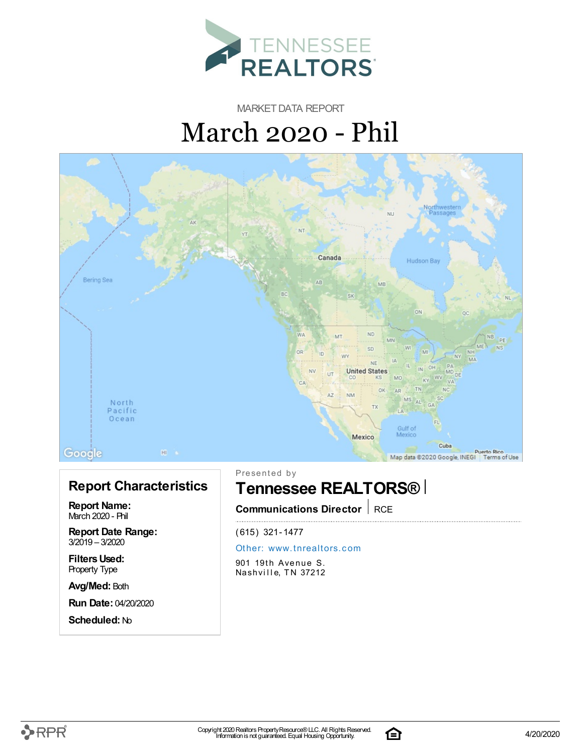

MARKET DATA REPORT March 2020 - Phil



### **Report Characteristics**

**Report Name:** March 2020 - Phil

**Report Date Range:** 3/2019 – 3/2020

**FiltersUsed:** Property Type

**Avg/Med:** Both

**Run Date:** 04/20/2020

**Scheduled:** No

Presented by

## **Tennessee REALTORS®**

**Communications Director** RCE

(615) 321-1477

#### Other: [www.](http://www.tnrealtors.com)tnrealtors.com

901 19th Avenue S. Nashville, TN 37212

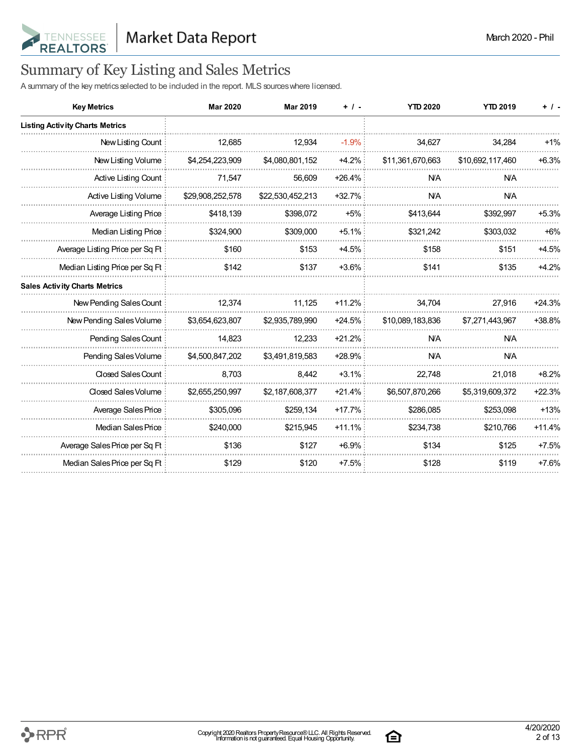

## Summary of Key Listing and Sales Metrics

A summary of the key metrics selected to be included in the report. MLS sources where licensed.

| <b>Key Metrics</b>                     | <b>Mar 2020</b>  | <b>Mar 2019</b>  | $+$ / $-$ | <b>YTD 2020</b>  | <b>YTD 2019</b>  | $+$ / -  |
|----------------------------------------|------------------|------------------|-----------|------------------|------------------|----------|
| <b>Listing Activity Charts Metrics</b> |                  |                  |           |                  |                  |          |
| New Listing Count                      | 12,685           | 12,934           | $-1.9%$   | 34,627           | 34,284           | $+1%$    |
| New Listing Volume                     | \$4,254,223,909  | \$4,080,801,152  | $+4.2%$   | \$11,361,670,663 | \$10,692,117,460 | $+6.3%$  |
| Active Listing Count                   | 71,547           | 56,609           | $+26.4%$  | <b>NA</b>        | <b>N/A</b>       |          |
| Active Listing Volume                  | \$29,908,252,578 | \$22,530,452,213 | $+32.7%$  | <b>N/A</b>       | <b>N/A</b>       |          |
| Average Listing Price                  | \$418,139        | \$398,072        | $+5%$     | \$413,644        | \$392,997        | $+5.3%$  |
| Median Listing Price                   | \$324,900        | \$309,000        | $+5.1%$   | \$321,242        | \$303,032        | $+6%$    |
| Average Listing Price per Sq Ft        | \$160            | \$153            | $+4.5%$   | \$158            | \$151            | $+4.5%$  |
| Median Listing Price per Sq Ft         | \$142            | \$137            | $+3.6%$   | \$141            | \$135            | $+4.2%$  |
| <b>Sales Activity Charts Metrics</b>   |                  |                  |           |                  |                  |          |
| New Pending Sales Count                | 12,374           | 11.125           | $+11.2%$  | 34,704           | 27,916           | $+24.3%$ |
| New Pending Sales Volume               | \$3,654,623,807  | \$2,935,789,990  | $+24.5%$  | \$10,089,183,836 | \$7,271,443,967  | +38.8%   |
| Pending Sales Count                    | 14,823           | 12,233           | $+21.2%$  | <b>N/A</b>       | <b>N/A</b>       |          |
| Pending Sales Volume                   | \$4,500,847,202  | \$3,491,819,583  | +28.9%    | <b>NA</b>        | <b>N/A</b>       |          |
| Closed Sales Count                     | 8,703            | 8,442            | $+3.1%$   | 22,748           | 21,018           | $+8.2%$  |
| Closed Sales Volume                    | \$2,655,250,997  | \$2,187,608,377  | $+21.4%$  | \$6,507,870,266  | \$5,319,609,372  | $+22.3%$ |
| Average Sales Price                    | \$305,096        | \$259,134        | $+17.7%$  | \$286,085        | \$253,098        | $+13%$   |
| Median Sales Price                     | \$240,000        | \$215,945        | $+11.1%$  | \$234,738        | \$210,766        | $+11.4%$ |
| Average Sales Price per Sq Ft          | \$136            | \$127            | $+6.9%$   | \$134            | \$125            | $+7.5%$  |
| Median Sales Price per Sq Ft           | \$129            | \$120            | $+7.5%$   | \$128            | \$119            | $+7.6%$  |

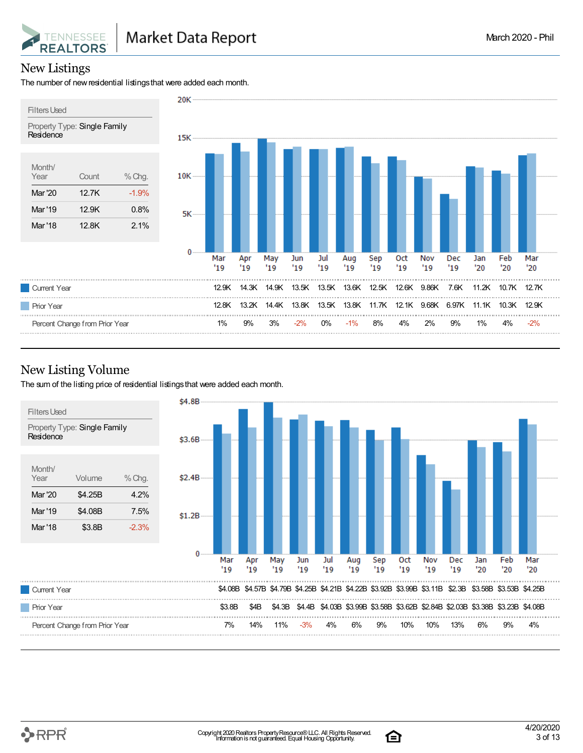

#### New Listings

The number of new residential listings that were added each month.



#### New Listing Volume

The sum of the listing price of residential listings that were added each month.



合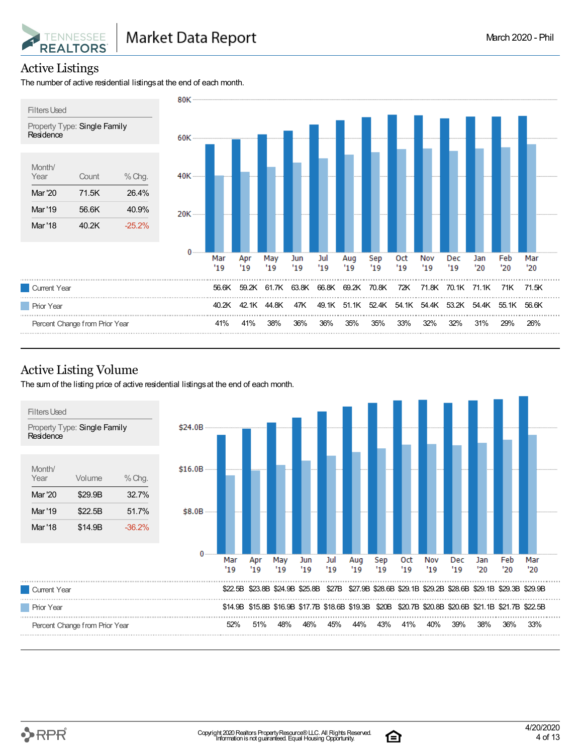

#### Active Listings

The number of active residential listings at the end of each month.



#### Active Listing Volume

The sum of the listing price of active residential listingsat the end of each month.





合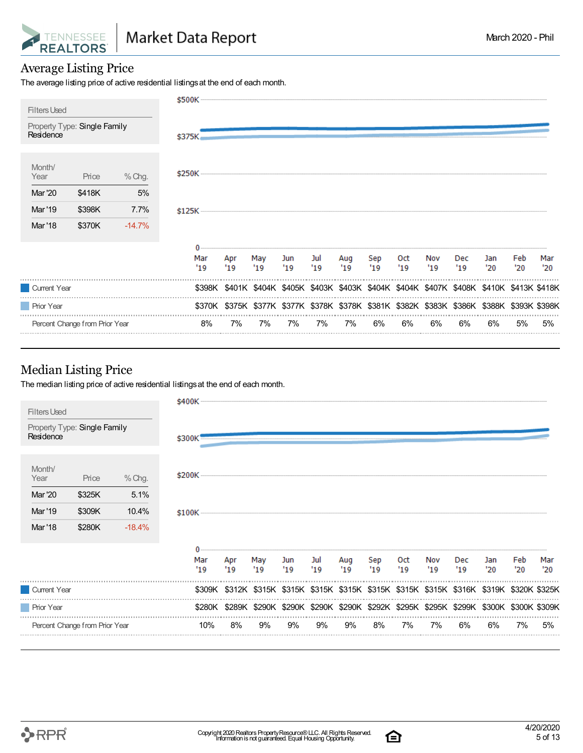

#### Average Listing Price

The average listing price of active residential listings at the end of each month.

|                                           |          | \$500K ---- |            |                                                                                            |            |            |            |            |                      |            |            |            |            |            |
|-------------------------------------------|----------|-------------|------------|--------------------------------------------------------------------------------------------|------------|------------|------------|------------|----------------------|------------|------------|------------|------------|------------|
| <b>Filters Used</b>                       |          |             |            |                                                                                            |            |            |            |            |                      |            |            |            |            |            |
| Property Type: Single Family<br>Residence |          | \$375K.     |            |                                                                                            |            |            |            |            |                      |            |            |            |            |            |
| Month/<br>Year<br>Price                   | % Chg.   |             |            |                                                                                            |            |            |            |            |                      |            |            |            |            |            |
| <b>Mar</b> '20<br>\$418K                  | 5%       |             |            |                                                                                            |            |            |            |            |                      |            |            |            |            |            |
| \$398K<br>Mar '19                         | 7.7%     | $$125K$     |            |                                                                                            |            |            |            |            |                      |            |            |            |            |            |
| Mar '18<br>\$370K                         | $-14.7%$ |             |            |                                                                                            |            |            |            |            |                      |            |            |            |            |            |
|                                           |          | Mar<br>'19  | Apr<br>'19 | May<br>$^{\prime}19$                                                                       | Jun<br>'19 | Jul<br>'19 | Aug<br>'19 | Sep<br>'19 | 0ct<br>$^{\prime}19$ | Nov<br>'19 | Dec<br>'19 | Jan<br>'20 | Feb<br>'20 | Mar<br>'20 |
| Current Year                              |          |             |            | \$398K \$401K \$404K \$405K \$403K \$403K \$404K \$404K \$407K \$408K \$410K \$413K \$418K |            |            |            |            |                      |            |            |            |            |            |
| <b>Prior Year</b>                         |          |             |            | \$370K \$375K \$377K \$377K \$378K \$378K \$381K \$382K \$383K \$386K \$388K \$393K \$398K |            |            |            |            |                      |            |            |            |            |            |
| Percent Change from Prior Year            |          | 8%          | 7%         | 7%                                                                                         | 7%         | 7%         | 7%         | 6%         | 6%                   | 6%         | 6%         | 6%         | 5%         | 5%         |

#### Median Listing Price

The median listing price of active residential listings at the end of each month.

| <b>Filters Used</b><br>Property Type: Single Family<br>Residence        | \$300K                                                                                     |            |            |            |                     |            |            |             |            |            |            |            |            |
|-------------------------------------------------------------------------|--------------------------------------------------------------------------------------------|------------|------------|------------|---------------------|------------|------------|-------------|------------|------------|------------|------------|------------|
| Month/<br>Year<br>$%$ Chg.<br>Price<br><b>Mar '20</b><br>5.1%<br>\$325K | \$200K --------                                                                            |            |            |            |                     |            |            |             |            |            |            |            |            |
| Mar '19<br>\$309K<br>10.4%                                              |                                                                                            |            |            |            |                     |            |            |             |            |            |            |            |            |
| <b>Mar</b> '18<br>\$280K<br>$-18.4%$                                    |                                                                                            |            |            |            |                     |            |            |             |            |            |            |            |            |
|                                                                         | Mar<br>$^{\prime}19$                                                                       | Apr<br>'19 | May<br>'19 | Jun<br>'19 | Jul<br>$19^{\circ}$ | Aug<br>'19 | Sep<br>'19 | 0ct<br>"19" | Nov<br>'19 | Dec<br>'19 | Jan<br>'20 | Feb<br>'20 | Mar<br>'20 |
| Current Year                                                            | \$309K \$312K \$315K \$315K \$315K \$315K \$315K \$315K \$315K \$316K \$319K \$320K \$325K |            |            |            |                     |            |            |             |            |            |            |            |            |
| Prior Year                                                              | \$280K \$289K \$290K \$290K \$290K \$290K \$292K \$295K \$295K \$299K \$300K \$300K \$309K |            |            |            |                     |            |            |             |            |            |            |            |            |
| Percent Change from Prior Year                                          | 10%                                                                                        | 8%         | 9%         | 9%         | 9%                  | 9%         | 8%         | 7%          | 7%         | 6%         | 6%         | 7%         | 5%         |

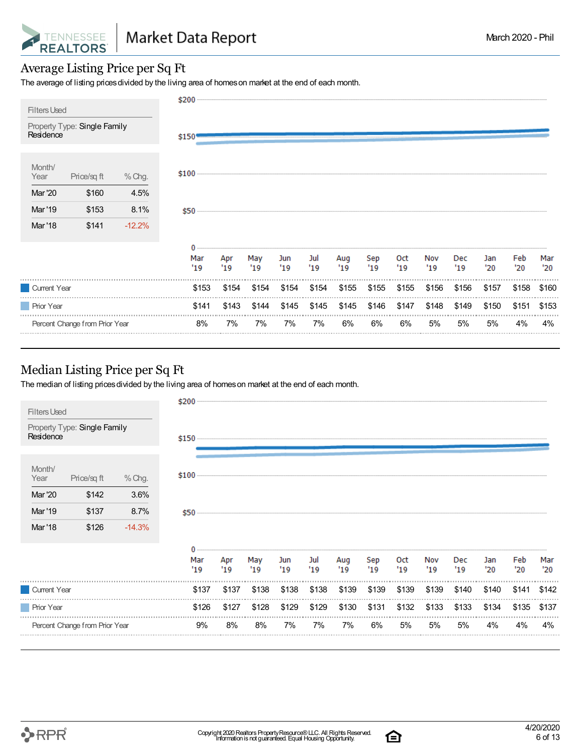

#### Average Listing Price per Sq Ft

The average of listing prices divided by the living area of homes on market at the end of each month.

| <b>Filters Used</b>                       | \$200      |            |            |            |            |            |            |            |            |                   |            |            |            |
|-------------------------------------------|------------|------------|------------|------------|------------|------------|------------|------------|------------|-------------------|------------|------------|------------|
| Property Type: Single Family<br>Residence | $$150 -$   |            |            |            |            |            |            |            |            |                   |            |            |            |
| Month/<br>% Chg.<br>Year<br>Price/sq ft   | $$100$     |            |            |            |            |            |            |            |            |                   |            |            |            |
| Mar '20<br>\$160<br>4.5%                  |            |            |            |            |            |            |            |            |            |                   |            |            |            |
| Mar '19<br>\$153<br>8.1%                  | $$50$ $-$  |            |            |            |            |            |            |            |            |                   |            |            |            |
| Mar '18<br>\$141<br>$-12.2%$              |            |            |            |            |            |            |            |            |            |                   |            |            |            |
|                                           | Mar<br>'19 | Apr<br>'19 | May<br>'19 | Jun<br>'19 | Jul<br>'19 | Aug<br>'19 | Sep<br>'19 | 0ct<br>'19 | Nov<br>'19 | <b>Dec</b><br>'19 | Jan<br>'20 | Feb<br>'20 | Mar<br>'20 |
| Current Year                              | \$153      | \$154      | \$154      | \$154      | \$154      | \$155      | \$155      | \$155      | \$156      | \$156             | \$157      | \$158      | \$160      |
| <b>Prior Year</b>                         | \$141      | \$143      | \$144      | \$145      | \$145      | \$145      | \$146      | \$147      | \$148      | \$149             | \$150      | \$151      | \$153      |
| Percent Change from Prior Year            | 8%         | 7%         | 7%         | 7%         | 7%         | 6%         | 6%         | 6%         | 5%         | 5%                | 5%         | 4%         | 4%         |

#### Median Listing Price per Sq Ft

The median of listing prices divided by the living area of homes on market at the end of each month.



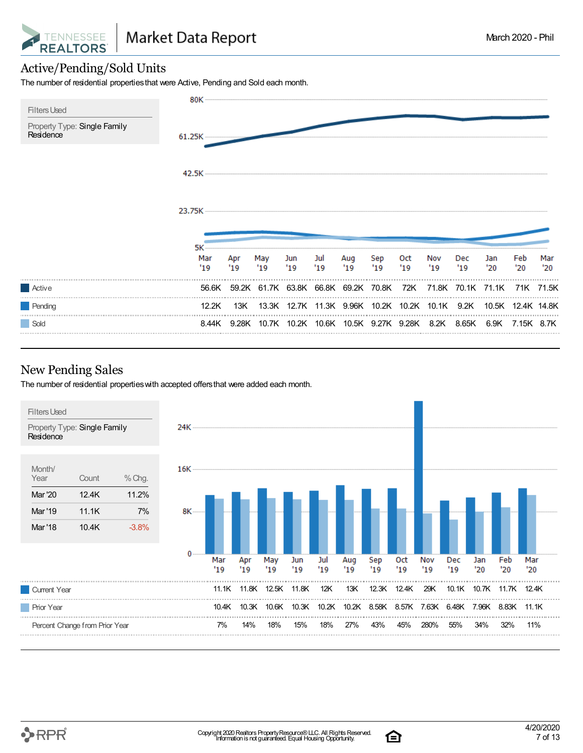

#### Active/Pending/Sold Units

The number of residential propertiesthat were Active, Pending and Sold each month.



#### New Pending Sales

The number of residential propertieswith accepted offersthat were added each month.



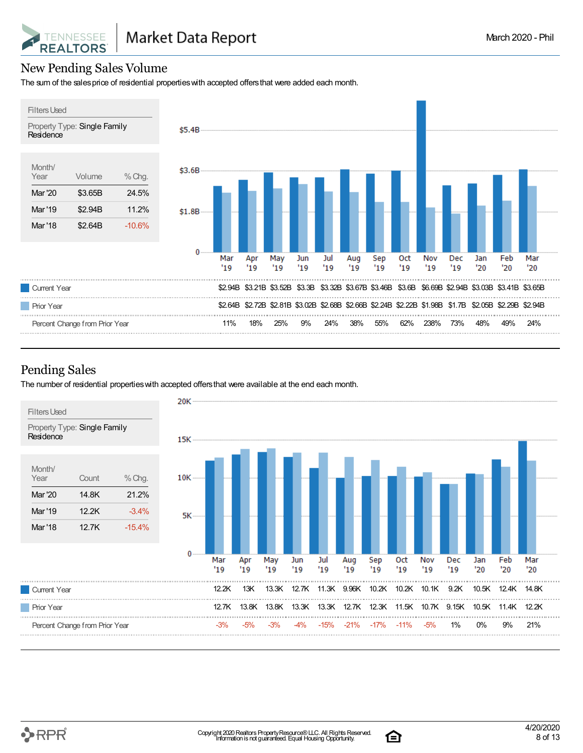

#### New Pending Sales Volume

The sum of the salesprice of residential propertieswith accepted offersthat were added each month.



#### Pending Sales

The number of residential propertieswith accepted offersthat were available at the end each month.



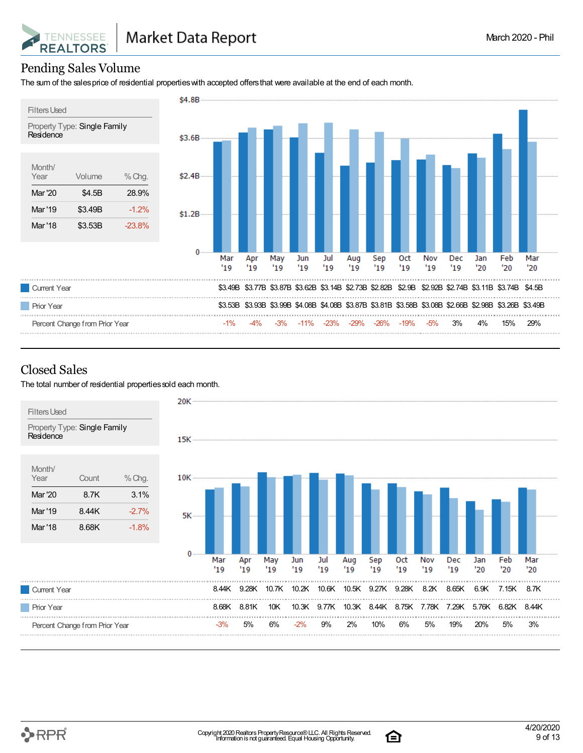

#### Pending Sales Volume

The sum of the salesprice of residential propertieswith accepted offersthat were available at the end of each month.



#### Closed Sales

The total number of residential properties sold each month.

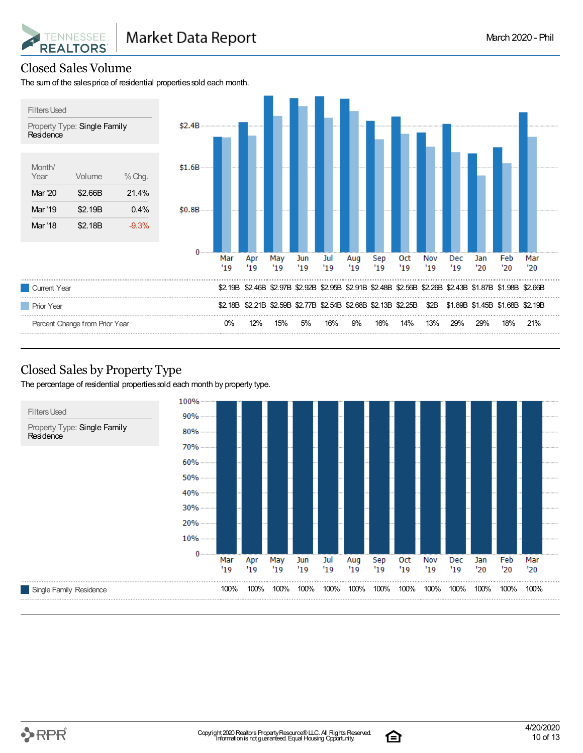

#### Closed Sales Volume

The sum of the sales price of residential properties sold each month.



#### Closed Sales by Property Type

The percentage of residential properties sold each month by property type.



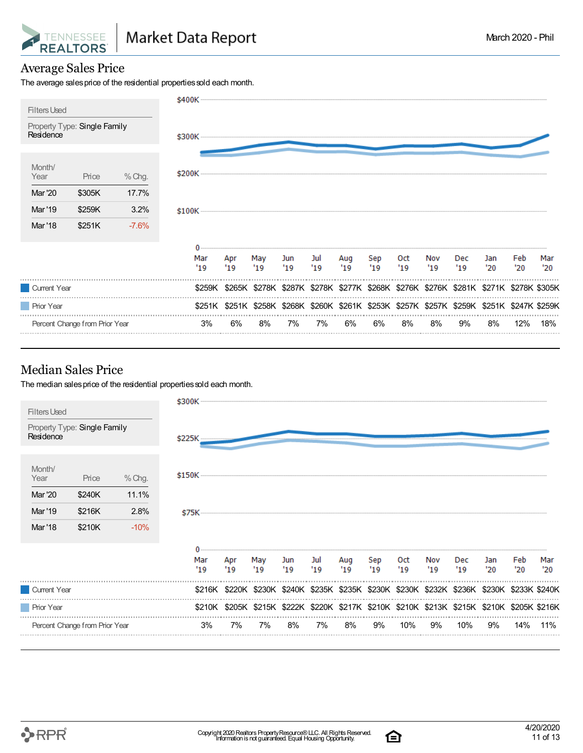

#### Average Sales Price

The average sales price of the residential properties sold each month.



#### Median Sales Price

The median sales price of the residential properties sold each month.



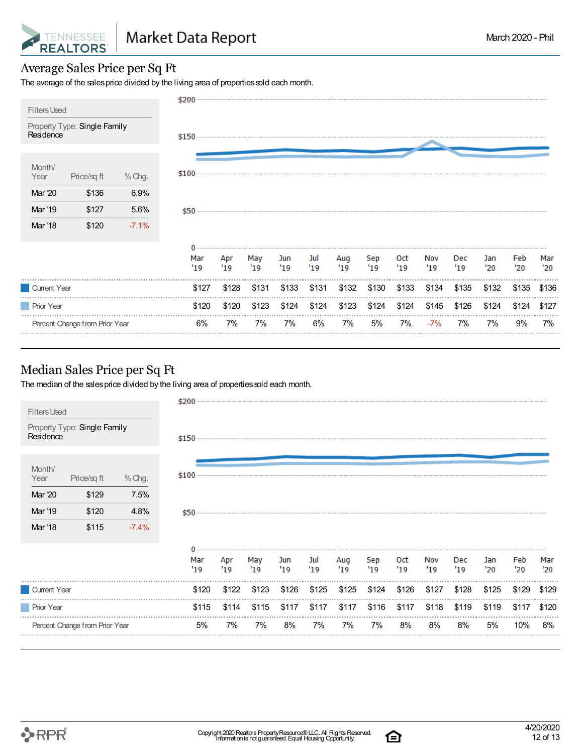

#### Average Sales Price per Sq Ft

The average of the sales price divided by the living area of properties sold each month.



#### Median Sales Price per Sq Ft

The median of the sales price divided by the living area of properties sold each month.